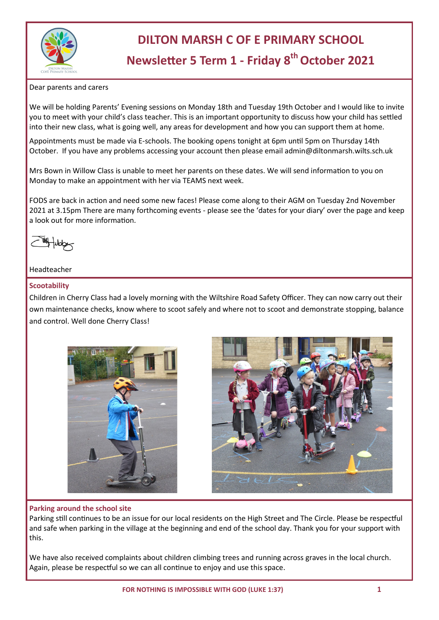

# **DILTON MARSH C OF E PRIMARY SCHOOL**

# **Newsletter 5 Term 1 - Friday 8th October 2021**

#### Dear parents and carers

We will be holding Parents' Evening sessions on Monday 18th and Tuesday 19th October and I would like to invite you to meet with your child's class teacher. This is an important opportunity to discuss how your child has settled into their new class, what is going well, any areas for development and how you can support them at home.

Appointments must be made via E-schools. The booking opens tonight at 6pm until 5pm on Thursday 14th October. If you have any problems accessing your account then please email admin@diltonmarsh.wilts.sch.uk

Mrs Bown in Willow Class is unable to meet her parents on these dates. We will send information to you on Monday to make an appointment with her via TEAMS next week.

FODS are back in action and need some new faces! Please come along to their AGM on Tuesday 2nd November 2021 at 3.15pm There are many forthcoming events - please see the 'dates for your diary' over the page and keep a look out for more information.

#### Headteacher

#### **Scootability**

Children in Cherry Class had a lovely morning with the Wiltshire Road Safety Officer. They can now carry out their own maintenance checks, know where to scoot safely and where not to scoot and demonstrate stopping, balance and control. Well done Cherry Class!





#### **Parking around the school site**

Parking still continues to be an issue for our local residents on the High Street and The Circle. Please be respectful and safe when parking in the village at the beginning and end of the school day. Thank you for your support with this.

We have also received complaints about children climbing trees and running across graves in the local church. Again, please be respectful so we can all continue to enjoy and use this space.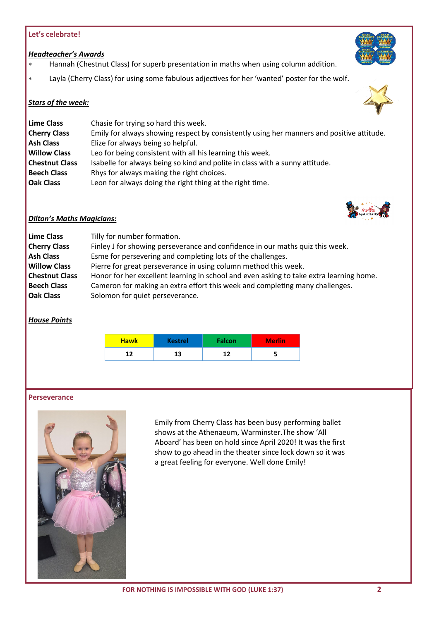### **Let's celebrate!**

#### *Headteacher's Awards*

- Hannah (Chestnut Class) for superb presentation in maths when using column addition.
- Layla (Cherry Class) for using some fabulous adjectives for her 'wanted' poster for the wolf.

#### *Stars of the week:*

| Lime Class            | Chasie for trying so hard this week.                                                      |  |  |  |
|-----------------------|-------------------------------------------------------------------------------------------|--|--|--|
| <b>Cherry Class</b>   | Emily for always showing respect by consistently using her manners and positive attitude. |  |  |  |
| <b>Ash Class</b>      | Elize for always being so helpful.                                                        |  |  |  |
| <b>Willow Class</b>   | Leo for being consistent with all his learning this week.                                 |  |  |  |
| <b>Chestnut Class</b> | Isabelle for always being so kind and polite in class with a sunny attitude.              |  |  |  |
| <b>Beech Class</b>    | Rhys for always making the right choices.                                                 |  |  |  |
| <b>Oak Class</b>      | Leon for always doing the right thing at the right time.                                  |  |  |  |



#### *Dilton's Maths Magicians:*

| Lime Class            | Tilly for number formation.                                                             |  |  |  |
|-----------------------|-----------------------------------------------------------------------------------------|--|--|--|
| <b>Cherry Class</b>   | Finley J for showing perseverance and confidence in our maths quiz this week.           |  |  |  |
| <b>Ash Class</b>      | Esme for persevering and completing lots of the challenges.                             |  |  |  |
| <b>Willow Class</b>   | Pierre for great perseverance in using column method this week.                         |  |  |  |
| <b>Chestnut Class</b> | Honor for her excellent learning in school and even asking to take extra learning home. |  |  |  |
| <b>Beech Class</b>    | Cameron for making an extra effort this week and completing many challenges.            |  |  |  |
| <b>Oak Class</b>      | Solomon for quiet perseverance.                                                         |  |  |  |

## *House Points*

| <b>Hawk</b> | <b>Kestrel</b> | <b>Falcon</b> | Merlin <sup>'</sup> |
|-------------|----------------|---------------|---------------------|
| 12          | 13             |               |                     |

#### **Perseverance**



Emily from Cherry Class has been busy performing ballet shows at the Athenaeum, Warminster.The show 'All Aboard' has been on hold since April 2020! It was the first show to go ahead in the theater since lock down so it was a great feeling for everyone. Well done Emily!